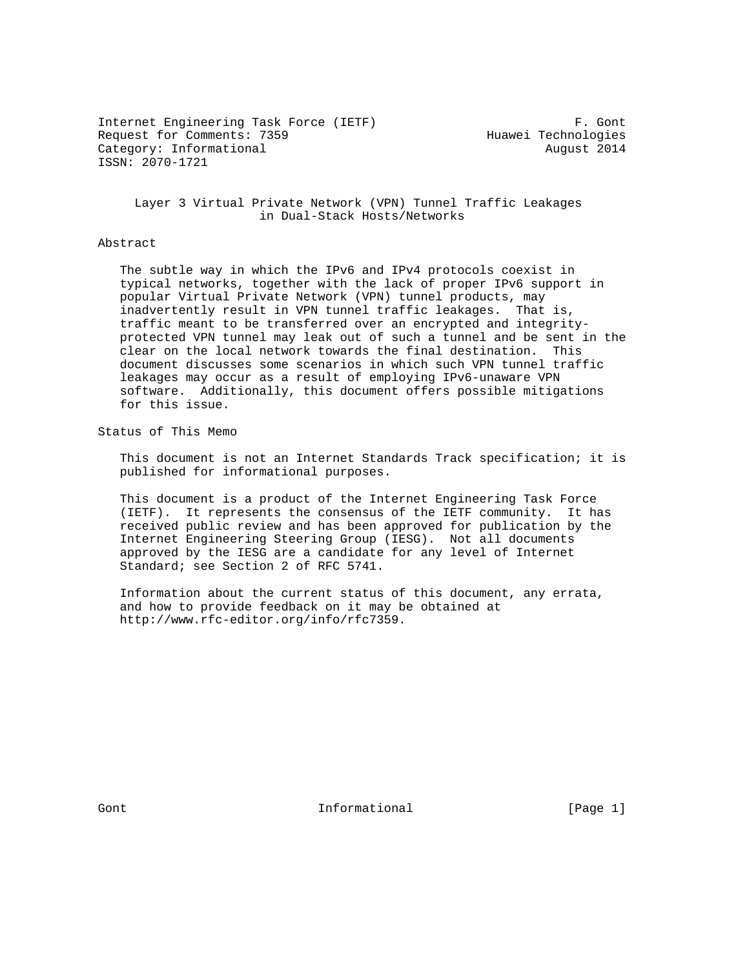Internet Engineering Task Force (IETF) F. Gont Request for Comments: 7359 Huawei Technologies Category: Informational and Category: Informational ISSN: 2070-1721

 Layer 3 Virtual Private Network (VPN) Tunnel Traffic Leakages in Dual-Stack Hosts/Networks

#### Abstract

 The subtle way in which the IPv6 and IPv4 protocols coexist in typical networks, together with the lack of proper IPv6 support in popular Virtual Private Network (VPN) tunnel products, may inadvertently result in VPN tunnel traffic leakages. That is, traffic meant to be transferred over an encrypted and integrity protected VPN tunnel may leak out of such a tunnel and be sent in the clear on the local network towards the final destination. This document discusses some scenarios in which such VPN tunnel traffic leakages may occur as a result of employing IPv6-unaware VPN software. Additionally, this document offers possible mitigations for this issue.

Status of This Memo

 This document is not an Internet Standards Track specification; it is published for informational purposes.

 This document is a product of the Internet Engineering Task Force (IETF). It represents the consensus of the IETF community. It has received public review and has been approved for publication by the Internet Engineering Steering Group (IESG). Not all documents approved by the IESG are a candidate for any level of Internet Standard; see Section 2 of RFC 5741.

 Information about the current status of this document, any errata, and how to provide feedback on it may be obtained at http://www.rfc-editor.org/info/rfc7359.

Gont **Informational Informational** [Page 1]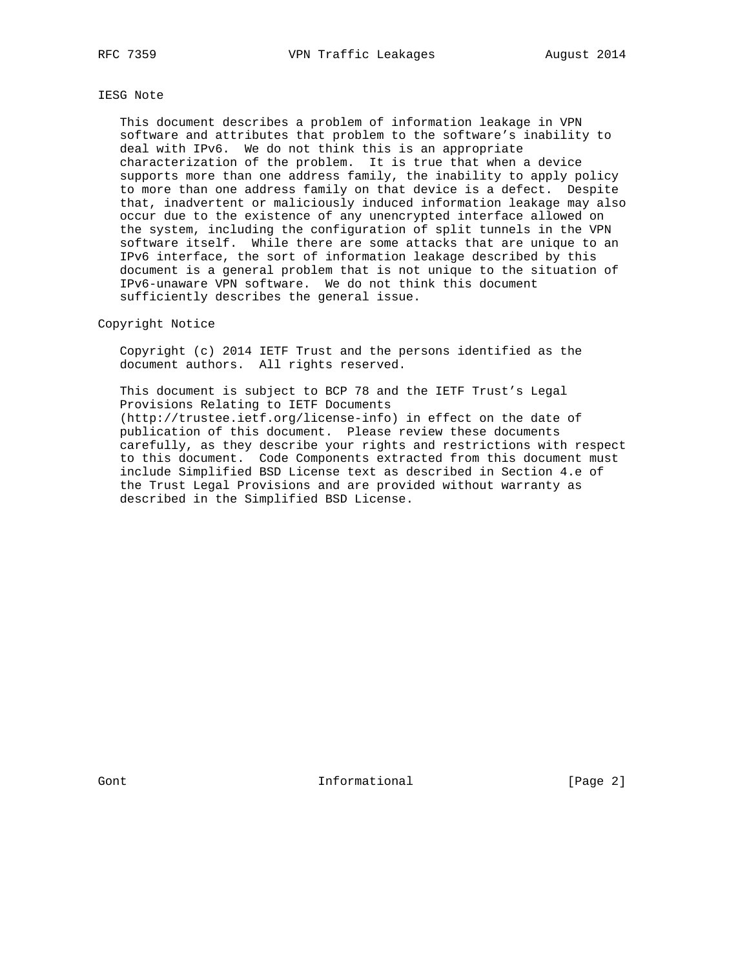# IESG Note

 This document describes a problem of information leakage in VPN software and attributes that problem to the software's inability to deal with IPv6. We do not think this is an appropriate characterization of the problem. It is true that when a device supports more than one address family, the inability to apply policy to more than one address family on that device is a defect. Despite that, inadvertent or maliciously induced information leakage may also occur due to the existence of any unencrypted interface allowed on the system, including the configuration of split tunnels in the VPN software itself. While there are some attacks that are unique to an IPv6 interface, the sort of information leakage described by this document is a general problem that is not unique to the situation of IPv6-unaware VPN software. We do not think this document sufficiently describes the general issue.

### Copyright Notice

 Copyright (c) 2014 IETF Trust and the persons identified as the document authors. All rights reserved.

 This document is subject to BCP 78 and the IETF Trust's Legal Provisions Relating to IETF Documents (http://trustee.ietf.org/license-info) in effect on the date of publication of this document. Please review these documents carefully, as they describe your rights and restrictions with respect to this document. Code Components extracted from this document must include Simplified BSD License text as described in Section 4.e of the Trust Legal Provisions and are provided without warranty as described in the Simplified BSD License.

Gont **Informational Informational** [Page 2]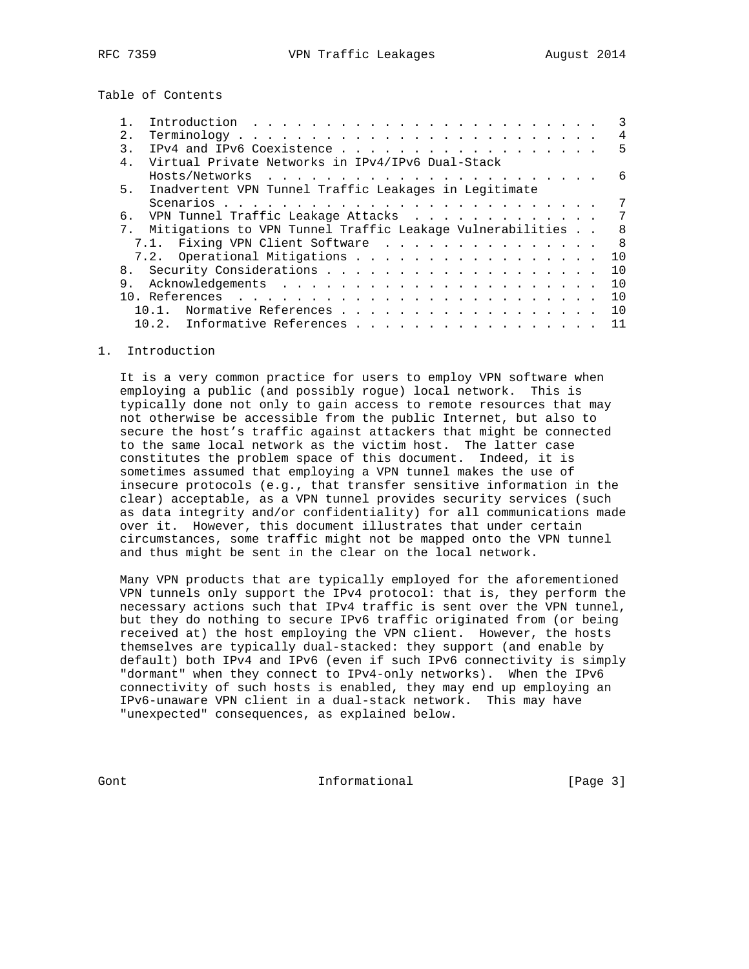Table of Contents

| 2.             |                                                              | 4              |
|----------------|--------------------------------------------------------------|----------------|
| $\mathcal{E}$  |                                                              | 5              |
| 4 <sub>1</sub> | Virtual Private Networks in IPv4/IPv6 Dual-Stack             |                |
|                |                                                              | 6              |
| 5 <sub>1</sub> | Inadvertent VPN Tunnel Traffic Leakages in Legitimate        |                |
|                |                                                              |                |
|                | 6. VPN Tunnel Traffic Leakage Attacks                        | 7              |
|                | 7. Mitigations to VPN Tunnel Traffic Leakage Vulnerabilities | 8              |
|                | 7.1. Fixing VPN Client Software                              | 8 <sup>8</sup> |
|                | 7.2. Operational Mitigations                                 | 10             |
|                |                                                              | 10             |
| 9.             |                                                              | 10             |
|                |                                                              | 10             |
|                | 10.1. Normative References                                   | 10             |
|                | 10.2. Informative References                                 | 11             |

### 1. Introduction

 It is a very common practice for users to employ VPN software when employing a public (and possibly rogue) local network. This is typically done not only to gain access to remote resources that may not otherwise be accessible from the public Internet, but also to secure the host's traffic against attackers that might be connected to the same local network as the victim host. The latter case constitutes the problem space of this document. Indeed, it is sometimes assumed that employing a VPN tunnel makes the use of insecure protocols (e.g., that transfer sensitive information in the clear) acceptable, as a VPN tunnel provides security services (such as data integrity and/or confidentiality) for all communications made over it. However, this document illustrates that under certain circumstances, some traffic might not be mapped onto the VPN tunnel and thus might be sent in the clear on the local network.

 Many VPN products that are typically employed for the aforementioned VPN tunnels only support the IPv4 protocol: that is, they perform the necessary actions such that IPv4 traffic is sent over the VPN tunnel, but they do nothing to secure IPv6 traffic originated from (or being received at) the host employing the VPN client. However, the hosts themselves are typically dual-stacked: they support (and enable by default) both IPv4 and IPv6 (even if such IPv6 connectivity is simply "dormant" when they connect to IPv4-only networks). When the IPv6 connectivity of such hosts is enabled, they may end up employing an IPv6-unaware VPN client in a dual-stack network. This may have "unexpected" consequences, as explained below.

Gont [Page 3]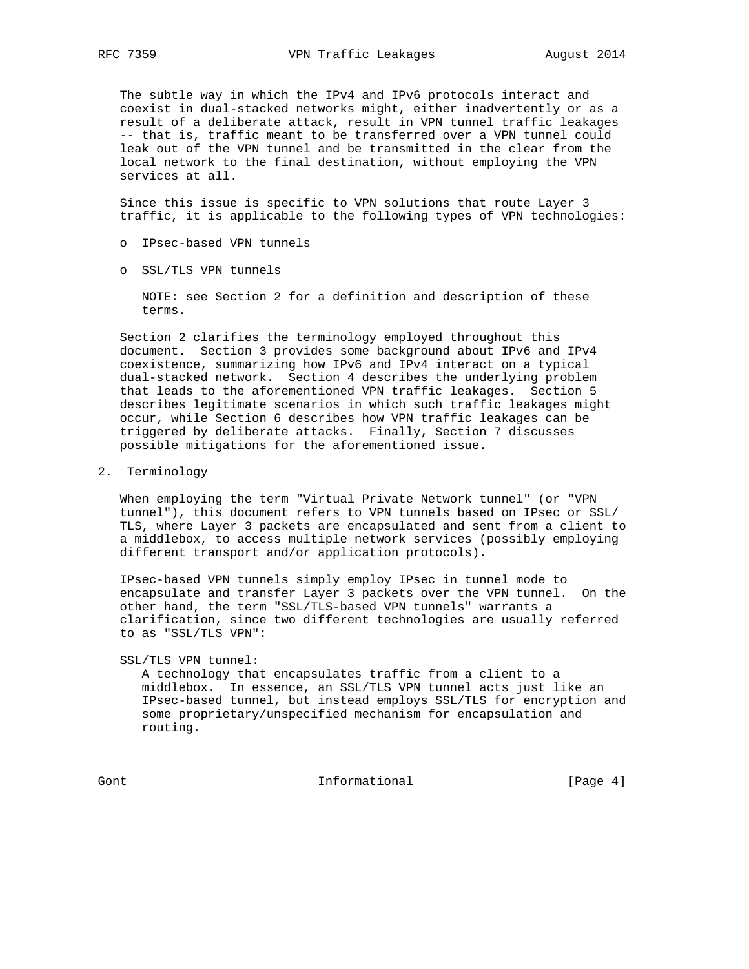The subtle way in which the IPv4 and IPv6 protocols interact and coexist in dual-stacked networks might, either inadvertently or as a result of a deliberate attack, result in VPN tunnel traffic leakages -- that is, traffic meant to be transferred over a VPN tunnel could leak out of the VPN tunnel and be transmitted in the clear from the local network to the final destination, without employing the VPN services at all.

 Since this issue is specific to VPN solutions that route Layer 3 traffic, it is applicable to the following types of VPN technologies:

- o IPsec-based VPN tunnels
- o SSL/TLS VPN tunnels

 NOTE: see Section 2 for a definition and description of these terms.

 Section 2 clarifies the terminology employed throughout this document. Section 3 provides some background about IPv6 and IPv4 coexistence, summarizing how IPv6 and IPv4 interact on a typical dual-stacked network. Section 4 describes the underlying problem that leads to the aforementioned VPN traffic leakages. Section 5 describes legitimate scenarios in which such traffic leakages might occur, while Section 6 describes how VPN traffic leakages can be triggered by deliberate attacks. Finally, Section 7 discusses possible mitigations for the aforementioned issue.

2. Terminology

 When employing the term "Virtual Private Network tunnel" (or "VPN tunnel"), this document refers to VPN tunnels based on IPsec or SSL/ TLS, where Layer 3 packets are encapsulated and sent from a client to a middlebox, to access multiple network services (possibly employing different transport and/or application protocols).

 IPsec-based VPN tunnels simply employ IPsec in tunnel mode to encapsulate and transfer Layer 3 packets over the VPN tunnel. On the other hand, the term "SSL/TLS-based VPN tunnels" warrants a clarification, since two different technologies are usually referred to as "SSL/TLS VPN":

SSL/TLS VPN tunnel:

 A technology that encapsulates traffic from a client to a middlebox. In essence, an SSL/TLS VPN tunnel acts just like an IPsec-based tunnel, but instead employs SSL/TLS for encryption and some proprietary/unspecified mechanism for encapsulation and routing.

Gont **Informational Informational** [Page 4]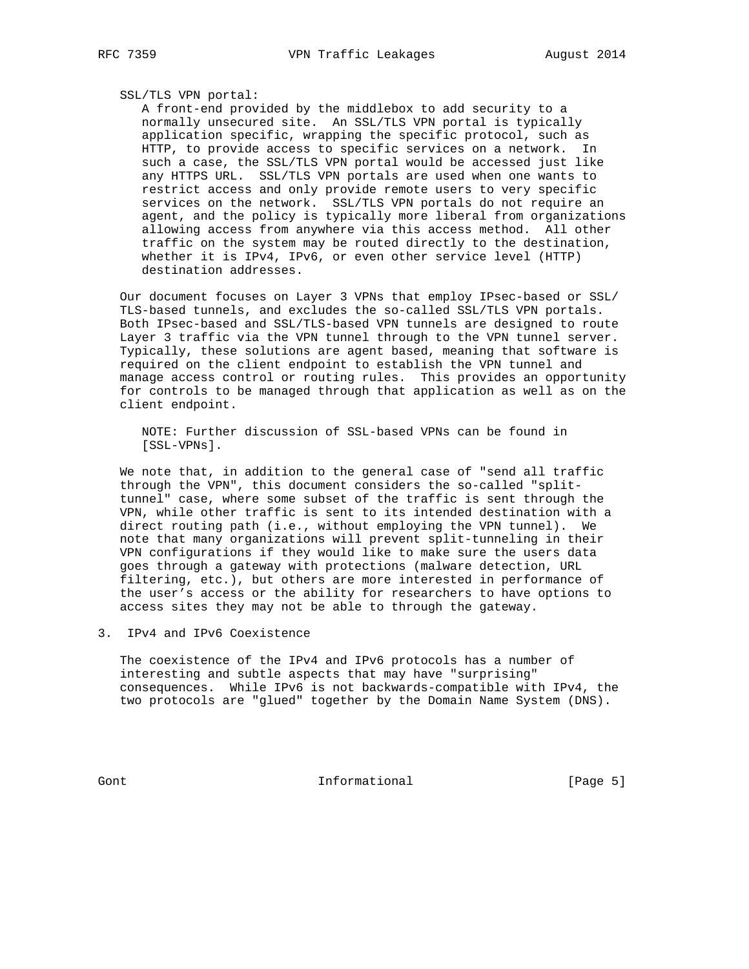#### SSL/TLS VPN portal:

 A front-end provided by the middlebox to add security to a normally unsecured site. An SSL/TLS VPN portal is typically application specific, wrapping the specific protocol, such as HTTP, to provide access to specific services on a network. In such a case, the SSL/TLS VPN portal would be accessed just like any HTTPS URL. SSL/TLS VPN portals are used when one wants to restrict access and only provide remote users to very specific services on the network. SSL/TLS VPN portals do not require an agent, and the policy is typically more liberal from organizations allowing access from anywhere via this access method. All other traffic on the system may be routed directly to the destination, whether it is IPv4, IPv6, or even other service level (HTTP) destination addresses.

 Our document focuses on Layer 3 VPNs that employ IPsec-based or SSL/ TLS-based tunnels, and excludes the so-called SSL/TLS VPN portals. Both IPsec-based and SSL/TLS-based VPN tunnels are designed to route Layer 3 traffic via the VPN tunnel through to the VPN tunnel server. Typically, these solutions are agent based, meaning that software is required on the client endpoint to establish the VPN tunnel and manage access control or routing rules. This provides an opportunity for controls to be managed through that application as well as on the client endpoint.

 NOTE: Further discussion of SSL-based VPNs can be found in [SSL-VPNs].

 We note that, in addition to the general case of "send all traffic through the VPN", this document considers the so-called "split tunnel" case, where some subset of the traffic is sent through the VPN, while other traffic is sent to its intended destination with a direct routing path (i.e., without employing the VPN tunnel). We note that many organizations will prevent split-tunneling in their VPN configurations if they would like to make sure the users data goes through a gateway with protections (malware detection, URL filtering, etc.), but others are more interested in performance of the user's access or the ability for researchers to have options to access sites they may not be able to through the gateway.

3. IPv4 and IPv6 Coexistence

 The coexistence of the IPv4 and IPv6 protocols has a number of interesting and subtle aspects that may have "surprising" consequences. While IPv6 is not backwards-compatible with IPv4, the two protocols are "glued" together by the Domain Name System (DNS).

Gont [Page 5]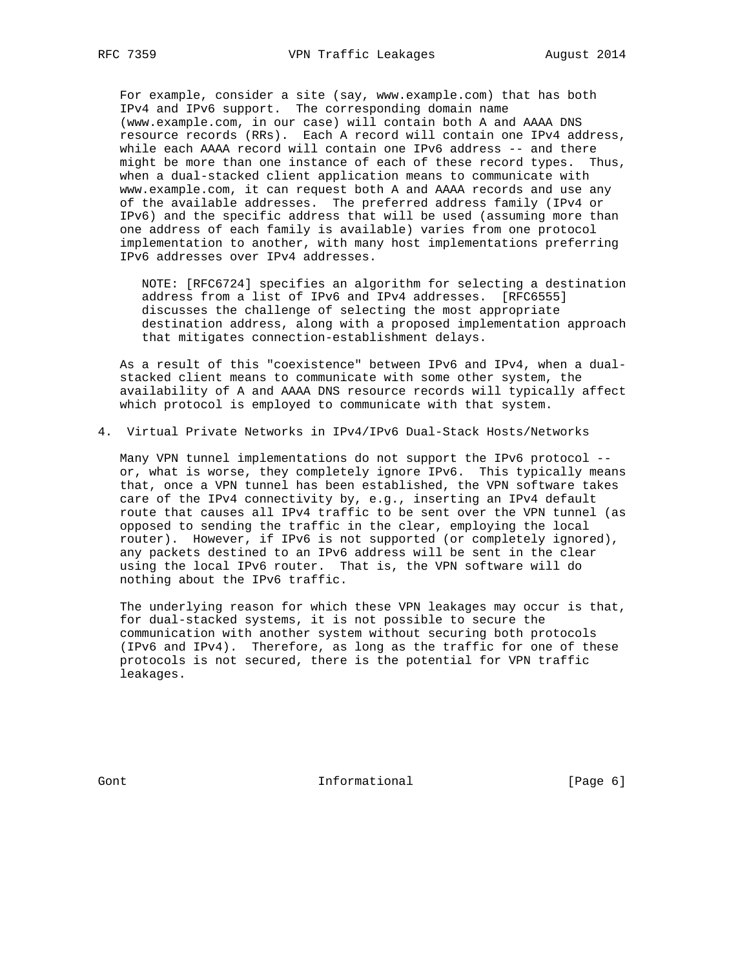For example, consider a site (say, www.example.com) that has both IPv4 and IPv6 support. The corresponding domain name (www.example.com, in our case) will contain both A and AAAA DNS resource records (RRs). Each A record will contain one IPv4 address, while each AAAA record will contain one IPv6 address -- and there might be more than one instance of each of these record types. Thus, when a dual-stacked client application means to communicate with www.example.com, it can request both A and AAAA records and use any of the available addresses. The preferred address family (IPv4 or IPv6) and the specific address that will be used (assuming more than one address of each family is available) varies from one protocol implementation to another, with many host implementations preferring IPv6 addresses over IPv4 addresses.

 NOTE: [RFC6724] specifies an algorithm for selecting a destination address from a list of IPv6 and IPv4 addresses. [RFC6555] discusses the challenge of selecting the most appropriate destination address, along with a proposed implementation approach that mitigates connection-establishment delays.

 As a result of this "coexistence" between IPv6 and IPv4, when a dual stacked client means to communicate with some other system, the availability of A and AAAA DNS resource records will typically affect which protocol is employed to communicate with that system.

4. Virtual Private Networks in IPv4/IPv6 Dual-Stack Hosts/Networks

 Many VPN tunnel implementations do not support the IPv6 protocol - or, what is worse, they completely ignore IPv6. This typically means that, once a VPN tunnel has been established, the VPN software takes care of the IPv4 connectivity by, e.g., inserting an IPv4 default route that causes all IPv4 traffic to be sent over the VPN tunnel (as opposed to sending the traffic in the clear, employing the local router). However, if IPv6 is not supported (or completely ignored), any packets destined to an IPv6 address will be sent in the clear using the local IPv6 router. That is, the VPN software will do nothing about the IPv6 traffic.

 The underlying reason for which these VPN leakages may occur is that, for dual-stacked systems, it is not possible to secure the communication with another system without securing both protocols (IPv6 and IPv4). Therefore, as long as the traffic for one of these protocols is not secured, there is the potential for VPN traffic leakages.

Gont **Informational Informational** [Page 6]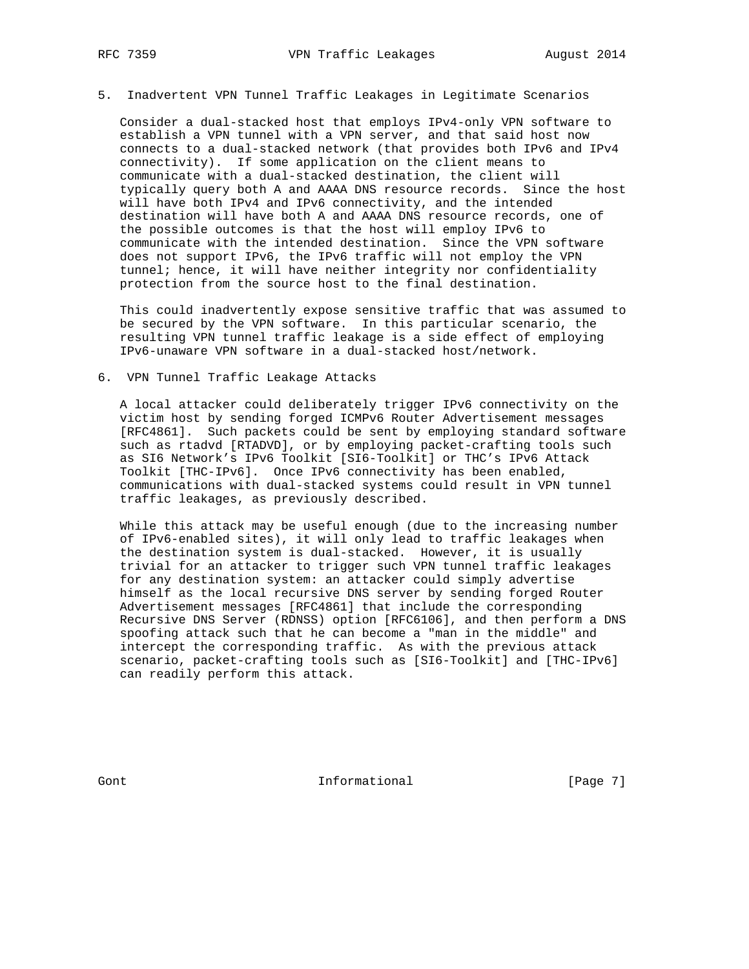5. Inadvertent VPN Tunnel Traffic Leakages in Legitimate Scenarios

 Consider a dual-stacked host that employs IPv4-only VPN software to establish a VPN tunnel with a VPN server, and that said host now connects to a dual-stacked network (that provides both IPv6 and IPv4 connectivity). If some application on the client means to communicate with a dual-stacked destination, the client will typically query both A and AAAA DNS resource records. Since the host will have both IPv4 and IPv6 connectivity, and the intended destination will have both A and AAAA DNS resource records, one of the possible outcomes is that the host will employ IPv6 to communicate with the intended destination. Since the VPN software does not support IPv6, the IPv6 traffic will not employ the VPN tunnel; hence, it will have neither integrity nor confidentiality protection from the source host to the final destination.

 This could inadvertently expose sensitive traffic that was assumed to be secured by the VPN software. In this particular scenario, the resulting VPN tunnel traffic leakage is a side effect of employing IPv6-unaware VPN software in a dual-stacked host/network.

6. VPN Tunnel Traffic Leakage Attacks

 A local attacker could deliberately trigger IPv6 connectivity on the victim host by sending forged ICMPv6 Router Advertisement messages [RFC4861]. Such packets could be sent by employing standard software such as rtadvd [RTADVD], or by employing packet-crafting tools such as SI6 Network's IPv6 Toolkit [SI6-Toolkit] or THC's IPv6 Attack Toolkit [THC-IPv6]. Once IPv6 connectivity has been enabled, communications with dual-stacked systems could result in VPN tunnel traffic leakages, as previously described.

 While this attack may be useful enough (due to the increasing number of IPv6-enabled sites), it will only lead to traffic leakages when the destination system is dual-stacked. However, it is usually trivial for an attacker to trigger such VPN tunnel traffic leakages for any destination system: an attacker could simply advertise himself as the local recursive DNS server by sending forged Router Advertisement messages [RFC4861] that include the corresponding Recursive DNS Server (RDNSS) option [RFC6106], and then perform a DNS spoofing attack such that he can become a "man in the middle" and intercept the corresponding traffic. As with the previous attack scenario, packet-crafting tools such as [SI6-Toolkit] and [THC-IPv6] can readily perform this attack.

Gont **Informational Informational** [Page 7]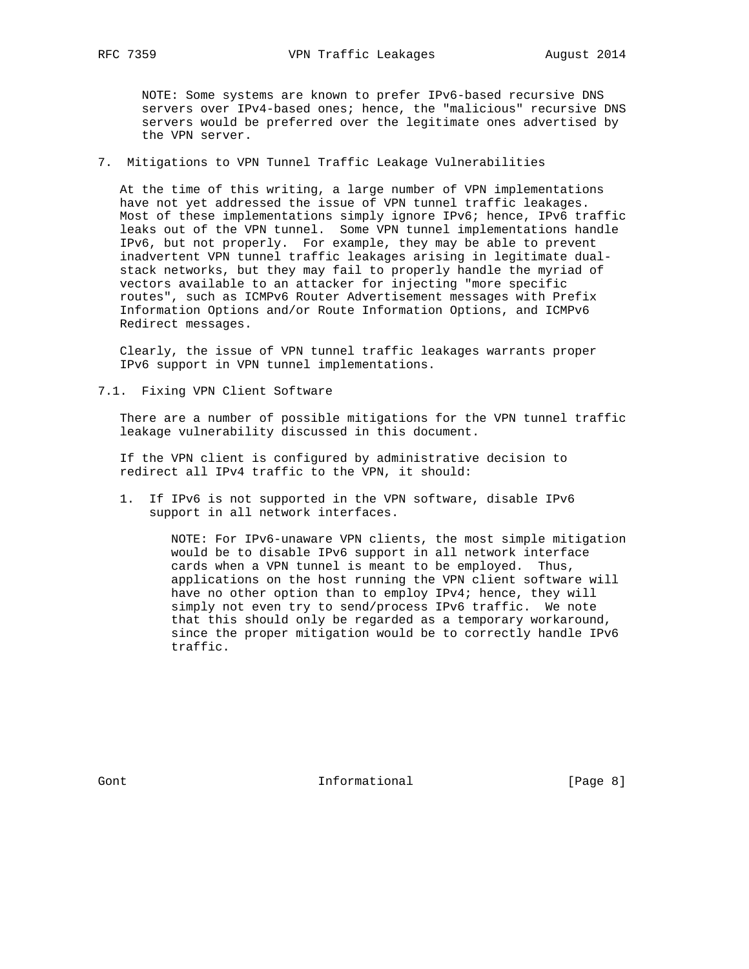NOTE: Some systems are known to prefer IPv6-based recursive DNS servers over IPv4-based ones; hence, the "malicious" recursive DNS servers would be preferred over the legitimate ones advertised by the VPN server.

# 7. Mitigations to VPN Tunnel Traffic Leakage Vulnerabilities

 At the time of this writing, a large number of VPN implementations have not yet addressed the issue of VPN tunnel traffic leakages. Most of these implementations simply ignore IPv6; hence, IPv6 traffic leaks out of the VPN tunnel. Some VPN tunnel implementations handle IPv6, but not properly. For example, they may be able to prevent inadvertent VPN tunnel traffic leakages arising in legitimate dual stack networks, but they may fail to properly handle the myriad of vectors available to an attacker for injecting "more specific routes", such as ICMPv6 Router Advertisement messages with Prefix Information Options and/or Route Information Options, and ICMPv6 Redirect messages.

 Clearly, the issue of VPN tunnel traffic leakages warrants proper IPv6 support in VPN tunnel implementations.

7.1. Fixing VPN Client Software

 There are a number of possible mitigations for the VPN tunnel traffic leakage vulnerability discussed in this document.

 If the VPN client is configured by administrative decision to redirect all IPv4 traffic to the VPN, it should:

 1. If IPv6 is not supported in the VPN software, disable IPv6 support in all network interfaces.

> NOTE: For IPv6-unaware VPN clients, the most simple mitigation would be to disable IPv6 support in all network interface cards when a VPN tunnel is meant to be employed. Thus, applications on the host running the VPN client software will have no other option than to employ IPv4; hence, they will simply not even try to send/process IPv6 traffic. We note that this should only be regarded as a temporary workaround, since the proper mitigation would be to correctly handle IPv6 traffic.

Gont 11 Communicational Theorem Informational (Page 8)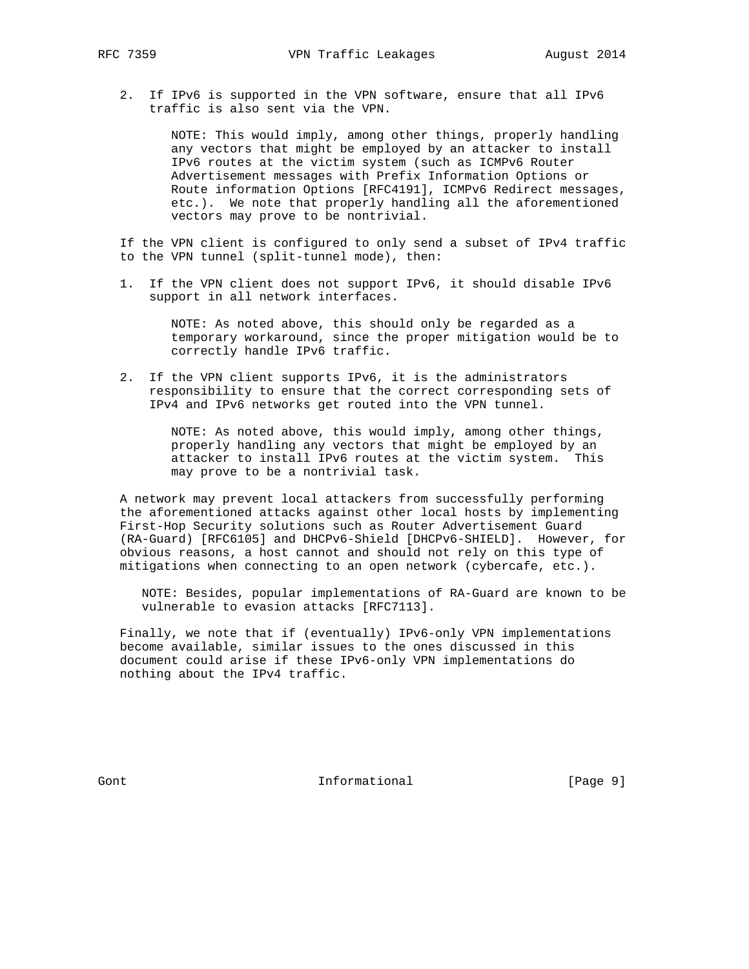2. If IPv6 is supported in the VPN software, ensure that all IPv6 traffic is also sent via the VPN.

> NOTE: This would imply, among other things, properly handling any vectors that might be employed by an attacker to install IPv6 routes at the victim system (such as ICMPv6 Router Advertisement messages with Prefix Information Options or Route information Options [RFC4191], ICMPv6 Redirect messages, etc.). We note that properly handling all the aforementioned vectors may prove to be nontrivial.

 If the VPN client is configured to only send a subset of IPv4 traffic to the VPN tunnel (split-tunnel mode), then:

 1. If the VPN client does not support IPv6, it should disable IPv6 support in all network interfaces.

> NOTE: As noted above, this should only be regarded as a temporary workaround, since the proper mitigation would be to correctly handle IPv6 traffic.

 2. If the VPN client supports IPv6, it is the administrators responsibility to ensure that the correct corresponding sets of IPv4 and IPv6 networks get routed into the VPN tunnel.

> NOTE: As noted above, this would imply, among other things, properly handling any vectors that might be employed by an attacker to install IPv6 routes at the victim system. This may prove to be a nontrivial task.

 A network may prevent local attackers from successfully performing the aforementioned attacks against other local hosts by implementing First-Hop Security solutions such as Router Advertisement Guard (RA-Guard) [RFC6105] and DHCPv6-Shield [DHCPv6-SHIELD]. However, for obvious reasons, a host cannot and should not rely on this type of mitigations when connecting to an open network (cybercafe, etc.).

 NOTE: Besides, popular implementations of RA-Guard are known to be vulnerable to evasion attacks [RFC7113].

 Finally, we note that if (eventually) IPv6-only VPN implementations become available, similar issues to the ones discussed in this document could arise if these IPv6-only VPN implementations do nothing about the IPv4 traffic.

Gont **Informational Informational** [Page 9]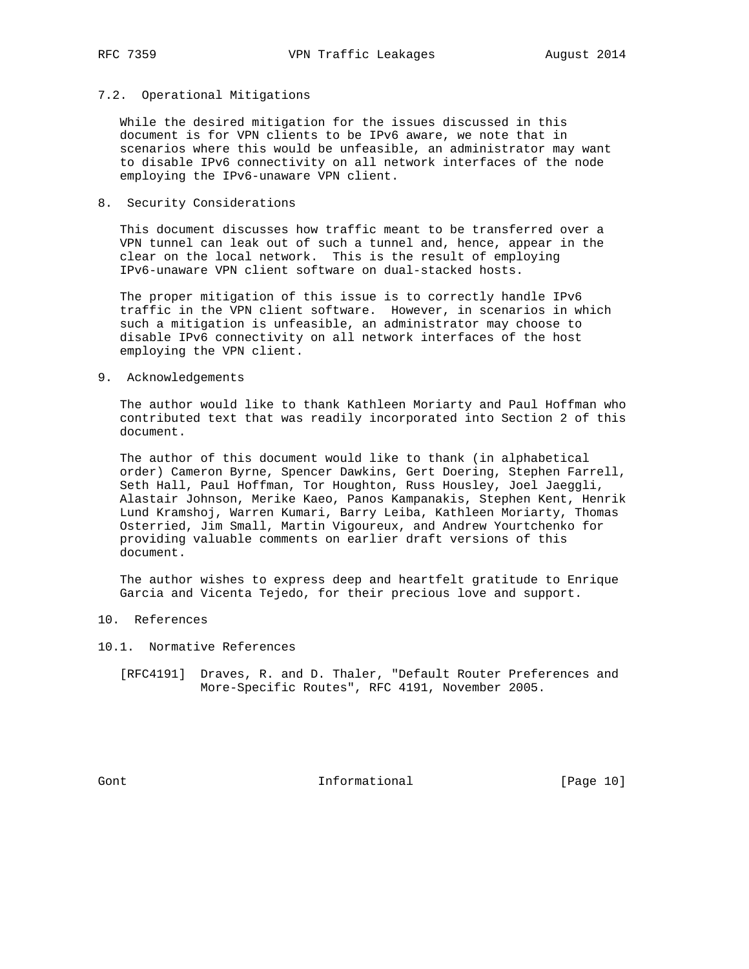### 7.2. Operational Mitigations

 While the desired mitigation for the issues discussed in this document is for VPN clients to be IPv6 aware, we note that in scenarios where this would be unfeasible, an administrator may want to disable IPv6 connectivity on all network interfaces of the node employing the IPv6-unaware VPN client.

# 8. Security Considerations

 This document discusses how traffic meant to be transferred over a VPN tunnel can leak out of such a tunnel and, hence, appear in the clear on the local network. This is the result of employing IPv6-unaware VPN client software on dual-stacked hosts.

 The proper mitigation of this issue is to correctly handle IPv6 traffic in the VPN client software. However, in scenarios in which such a mitigation is unfeasible, an administrator may choose to disable IPv6 connectivity on all network interfaces of the host employing the VPN client.

# 9. Acknowledgements

 The author would like to thank Kathleen Moriarty and Paul Hoffman who contributed text that was readily incorporated into Section 2 of this document.

 The author of this document would like to thank (in alphabetical order) Cameron Byrne, Spencer Dawkins, Gert Doering, Stephen Farrell, Seth Hall, Paul Hoffman, Tor Houghton, Russ Housley, Joel Jaeggli, Alastair Johnson, Merike Kaeo, Panos Kampanakis, Stephen Kent, Henrik Lund Kramshoj, Warren Kumari, Barry Leiba, Kathleen Moriarty, Thomas Osterried, Jim Small, Martin Vigoureux, and Andrew Yourtchenko for providing valuable comments on earlier draft versions of this document.

 The author wishes to express deep and heartfelt gratitude to Enrique Garcia and Vicenta Tejedo, for their precious love and support.

# 10. References

- 10.1. Normative References
	- [RFC4191] Draves, R. and D. Thaler, "Default Router Preferences and More-Specific Routes", RFC 4191, November 2005.

Gont **Informational** [Page 10]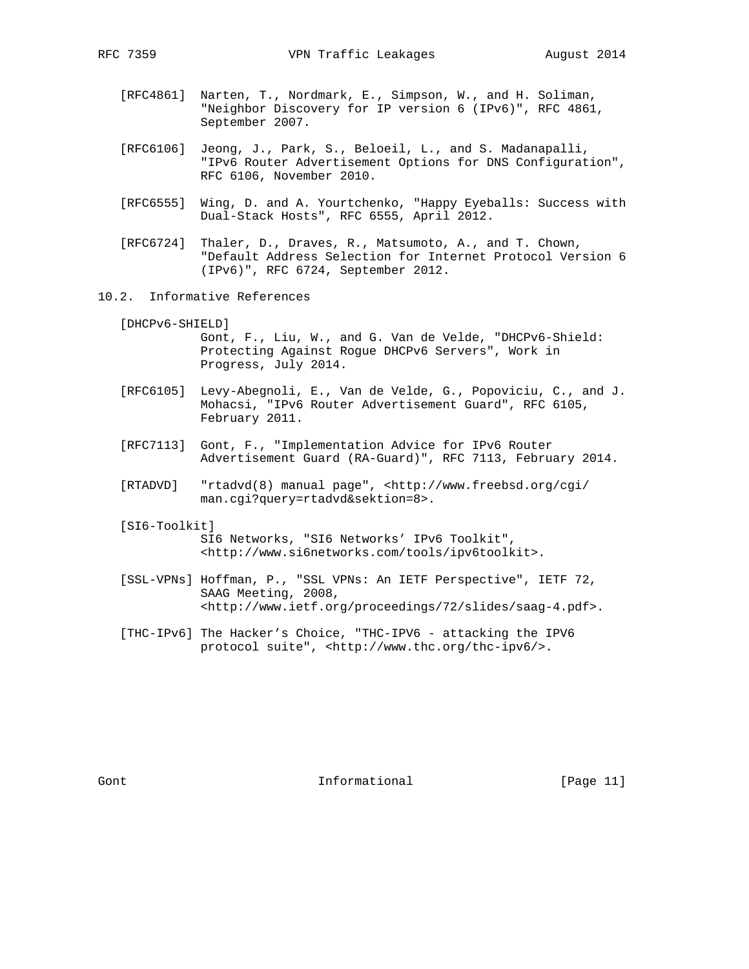- [RFC4861] Narten, T., Nordmark, E., Simpson, W., and H. Soliman, "Neighbor Discovery for IP version 6 (IPv6)", RFC 4861, September 2007.
- [RFC6106] Jeong, J., Park, S., Beloeil, L., and S. Madanapalli, "IPv6 Router Advertisement Options for DNS Configuration", RFC 6106, November 2010.
- [RFC6555] Wing, D. and A. Yourtchenko, "Happy Eyeballs: Success with Dual-Stack Hosts", RFC 6555, April 2012.
- [RFC6724] Thaler, D., Draves, R., Matsumoto, A., and T. Chown, "Default Address Selection for Internet Protocol Version 6 (IPv6)", RFC 6724, September 2012.
- 10.2. Informative References

[DHCPv6-SHIELD]

 Gont, F., Liu, W., and G. Van de Velde, "DHCPv6-Shield: Protecting Against Rogue DHCPv6 Servers", Work in Progress, July 2014.

- [RFC6105] Levy-Abegnoli, E., Van de Velde, G., Popoviciu, C., and J. Mohacsi, "IPv6 Router Advertisement Guard", RFC 6105, February 2011.
- [RFC7113] Gont, F., "Implementation Advice for IPv6 Router Advertisement Guard (RA-Guard)", RFC 7113, February 2014.
- [RTADVD] "rtadvd(8) manual page", <http://www.freebsd.org/cgi/ man.cgi?query=rtadvd&sektion=8>.
- [SI6-Toolkit] SI6 Networks, "SI6 Networks' IPv6 Toolkit", <http://www.si6networks.com/tools/ipv6toolkit>.
- [SSL-VPNs] Hoffman, P., "SSL VPNs: An IETF Perspective", IETF 72, SAAG Meeting, 2008, <http://www.ietf.org/proceedings/72/slides/saag-4.pdf>.
- [THC-IPv6] The Hacker's Choice, "THC-IPV6 attacking the IPV6 protocol suite", <http://www.thc.org/thc-ipv6/>.

Gont **Informational Informational** [Page 11]